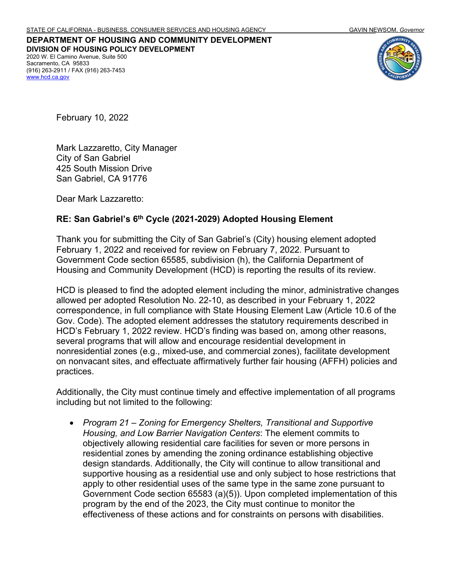**DEPARTMENT OF HOUSING AND COMMUNITY DEVELOPMENT DIVISION OF HOUSING POLICY DEVELOPMENT** 2020 W. El Camino Avenue, Suite 500 Sacramento, CA 95833 (916) 263-2911 / FAX (916) 263-7453 [www.hcd.ca.gov](http://www.hcd.ca.gov/)



February 10, 2022

Mark Lazzaretto, City Manager City of San Gabriel 425 South Mission Drive San Gabriel, CA 91776

Dear Mark Lazzaretto:

## **RE: San Gabriel's 6th Cycle (2021-2029) Adopted Housing Element**

Thank you for submitting the City of San Gabriel's (City) housing element adopted February 1, 2022 and received for review on February 7, 2022. Pursuant to Government Code section 65585, subdivision (h), the California Department of Housing and Community Development (HCD) is reporting the results of its review.

HCD is pleased to find the adopted element including the minor, administrative changes allowed per adopted Resolution No. 22-10, as described in your February 1, 2022 correspondence, in full compliance with State Housing Element Law (Article 10.6 of the Gov. Code). The adopted element addresses the statutory requirements described in HCD's February 1, 2022 review. HCD's finding was based on, among other reasons, several programs that will allow and encourage residential development in nonresidential zones (e.g., mixed-use, and commercial zones), facilitate development on nonvacant sites, and effectuate affirmatively further fair housing (AFFH) policies and practices.

Additionally, the City must continue timely and effective implementation of all programs including but not limited to the following:

• *Program 21 – Zoning for Emergency Shelters, Transitional and Supportive Housing, and Low Barrier Navigation Centers*: The element commits to objectively allowing residential care facilities for seven or more persons in residential zones by amending the zoning ordinance establishing objective design standards. Additionally, the City will continue to allow transitional and supportive housing as a residential use and only subject to hose restrictions that apply to other residential uses of the same type in the same zone pursuant to Government Code section 65583 (a)(5)). Upon completed implementation of this program by the end of the 2023, the City must continue to monitor the effectiveness of these actions and for constraints on persons with disabilities.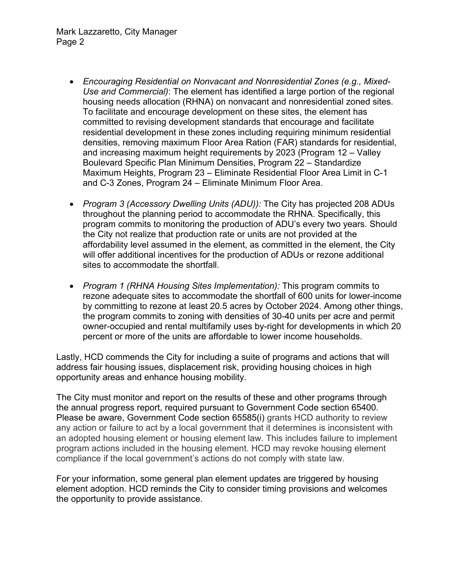- *Encouraging Residential on Nonvacant and Nonresidential Zones (e.g., Mixed-Use and Commercial)*: The element has identified a large portion of the regional housing needs allocation (RHNA) on nonvacant and nonresidential zoned sites. To facilitate and encourage development on these sites, the element has committed to revising development standards that encourage and facilitate residential development in these zones including requiring minimum residential densities, removing maximum Floor Area Ration (FAR) standards for residential, and increasing maximum height requirements by 2023 (Program 12 – Valley Boulevard Specific Plan Minimum Densities, Program 22 – Standardize Maximum Heights, Program 23 – Eliminate Residential Floor Area Limit in C-1 and C-3 Zones, Program 24 – Eliminate Minimum Floor Area.
- *Program 3 (Accessory Dwelling Units (ADU)):* The City has projected 208 ADUs throughout the planning period to accommodate the RHNA. Specifically, this program commits to monitoring the production of ADU's every two years. Should the City not realize that production rate or units are not provided at the affordability level assumed in the element, as committed in the element, the City will offer additional incentives for the production of ADUs or rezone additional sites to accommodate the shortfall
- *Program 1 (RHNA Housing Sites Implementation):* This program commits to rezone adequate sites to accommodate the shortfall of 600 units for lower-income by committing to rezone at least 20.5 acres by October 2024. Among other things, the program commits to zoning with densities of 30-40 units per acre and permit owner-occupied and rental multifamily uses by-right for developments in which 20 percent or more of the units are affordable to lower income households.

Lastly, HCD commends the City for including a suite of programs and actions that will address fair housing issues, displacement risk, providing housing choices in high opportunity areas and enhance housing mobility.

The City must monitor and report on the results of these and other programs through the annual progress report, required pursuant to Government Code section 65400. Please be aware, Government Code section 65585(i) grants HCD authority to review any action or failure to act by a local government that it determines is inconsistent with an adopted housing element or housing element law. This includes failure to implement program actions included in the housing element. HCD may revoke housing element compliance if the local government's actions do not comply with state law.

For your information, some general plan element updates are triggered by housing element adoption. HCD reminds the City to consider timing provisions and welcomes the opportunity to provide assistance.